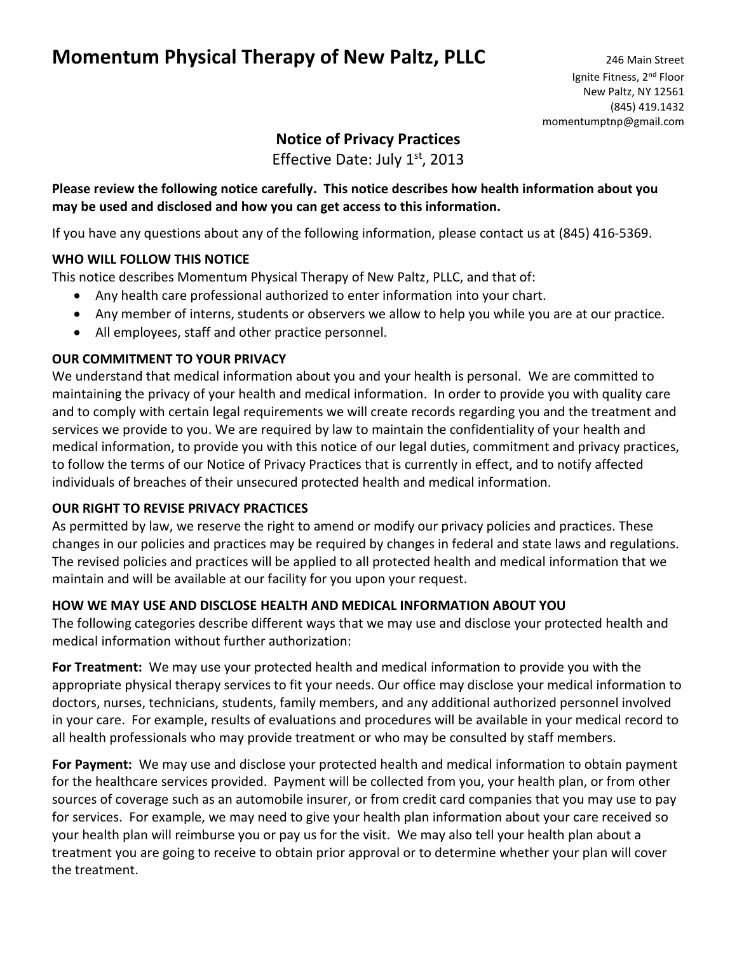# **Momentum Physical Therapy of New Paltz, PLLC** 246 Main Street

# **Notice of Privacy Practices**

Effective Date: July  $1<sup>st</sup>$ , 2013

#### **Please review the following notice carefully. This notice describes how health information about you may be used and disclosed and how you can get access to this information.**

If you have any questions about any of the following information, please contact us at (845) 416-5369.

#### **WHO WILL FOLLOW THIS NOTICE**

This notice describes Momentum Physical Therapy of New Paltz, PLLC, and that of:

- Any health care professional authorized to enter information into your chart.
- Any member of interns, students or observers we allow to help you while you are at our practice.
- All employees, staff and other practice personnel.

#### **OUR COMMITMENT TO YOUR PRIVACY**

We understand that medical information about you and your health is personal. We are committed to maintaining the privacy of your health and medical information. In order to provide you with quality care and to comply with certain legal requirements we will create records regarding you and the treatment and services we provide to you. We are required by law to maintain the confidentiality of your health and medical information, to provide you with this notice of our legal duties, commitment and privacy practices, to follow the terms of our Notice of Privacy Practices that is currently in effect, and to notify affected individuals of breaches of their unsecured protected health and medical information.

#### **OUR RIGHT TO REVISE PRIVACY PRACTICES**

As permitted by law, we reserve the right to amend or modify our privacy policies and practices. These changes in our policies and practices may be required by changes in federal and state laws and regulations. The revised policies and practices will be applied to all protected health and medical information that we maintain and will be available at our facility for you upon your request.

#### **HOW WE MAY USE AND DISCLOSE HEALTH AND MEDICAL INFORMATION ABOUT YOU**

The following categories describe different ways that we may use and disclose your protected health and medical information without further authorization:

**For Treatment:** We may use your protected health and medical information to provide you with the appropriate physical therapy services to fit your needs. Our office may disclose your medical information to doctors, nurses, technicians, students, family members, and any additional authorized personnel involved in your care. For example, results of evaluations and procedures will be available in your medical record to all health professionals who may provide treatment or who may be consulted by staff members.

**For Payment:** We may use and disclose your protected health and medical information to obtain payment for the healthcare services provided. Payment will be collected from you, your health plan, or from other sources of coverage such as an automobile insurer, or from credit card companies that you may use to pay for services. For example, we may need to give your health plan information about your care received so your health plan will reimburse you or pay us for the visit. We may also tell your health plan about a treatment you are going to receive to obtain prior approval or to determine whether your plan will cover the treatment.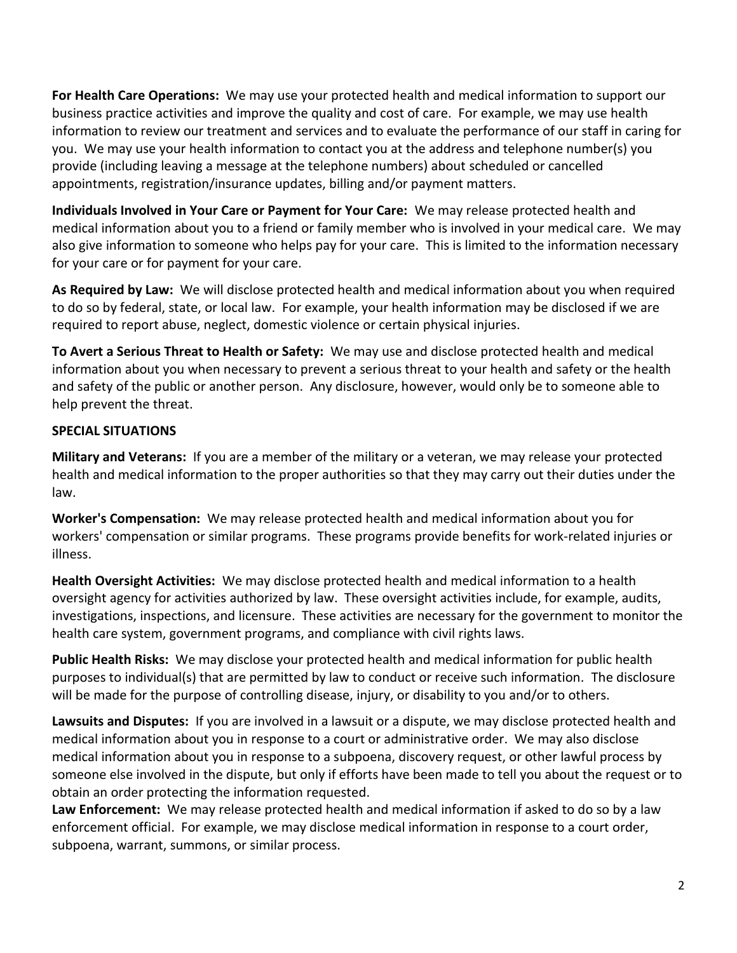**For Health Care Operations:** We may use your protected health and medical information to support our business practice activities and improve the quality and cost of care. For example, we may use health information to review our treatment and services and to evaluate the performance of our staff in caring for you. We may use your health information to contact you at the address and telephone number(s) you provide (including leaving a message at the telephone numbers) about scheduled or cancelled appointments, registration/insurance updates, billing and/or payment matters.

**Individuals Involved in Your Care or Payment for Your Care:** We may release protected health and medical information about you to a friend or family member who is involved in your medical care. We may also give information to someone who helps pay for your care. This is limited to the information necessary for your care or for payment for your care.

**As Required by Law:** We will disclose protected health and medical information about you when required to do so by federal, state, or local law. For example, your health information may be disclosed if we are required to report abuse, neglect, domestic violence or certain physical injuries.

**To Avert a Serious Threat to Health or Safety:** We may use and disclose protected health and medical information about you when necessary to prevent a serious threat to your health and safety or the health and safety of the public or another person. Any disclosure, however, would only be to someone able to help prevent the threat.

## **SPECIAL SITUATIONS**

**Military and Veterans:** If you are a member of the military or a veteran, we may release your protected health and medical information to the proper authorities so that they may carry out their duties under the law.

**Worker's Compensation:** We may release protected health and medical information about you for workers' compensation or similar programs. These programs provide benefits for work-related injuries or illness.

**Health Oversight Activities:** We may disclose protected health and medical information to a health oversight agency for activities authorized by law. These oversight activities include, for example, audits, investigations, inspections, and licensure. These activities are necessary for the government to monitor the health care system, government programs, and compliance with civil rights laws.

**Public Health Risks:** We may disclose your protected health and medical information for public health purposes to individual(s) that are permitted by law to conduct or receive such information. The disclosure will be made for the purpose of controlling disease, injury, or disability to you and/or to others.

**Lawsuits and Disputes:** If you are involved in a lawsuit or a dispute, we may disclose protected health and medical information about you in response to a court or administrative order. We may also disclose medical information about you in response to a subpoena, discovery request, or other lawful process by someone else involved in the dispute, but only if efforts have been made to tell you about the request or to obtain an order protecting the information requested.

**Law Enforcement:** We may release protected health and medical information if asked to do so by a law enforcement official. For example, we may disclose medical information in response to a court order, subpoena, warrant, summons, or similar process.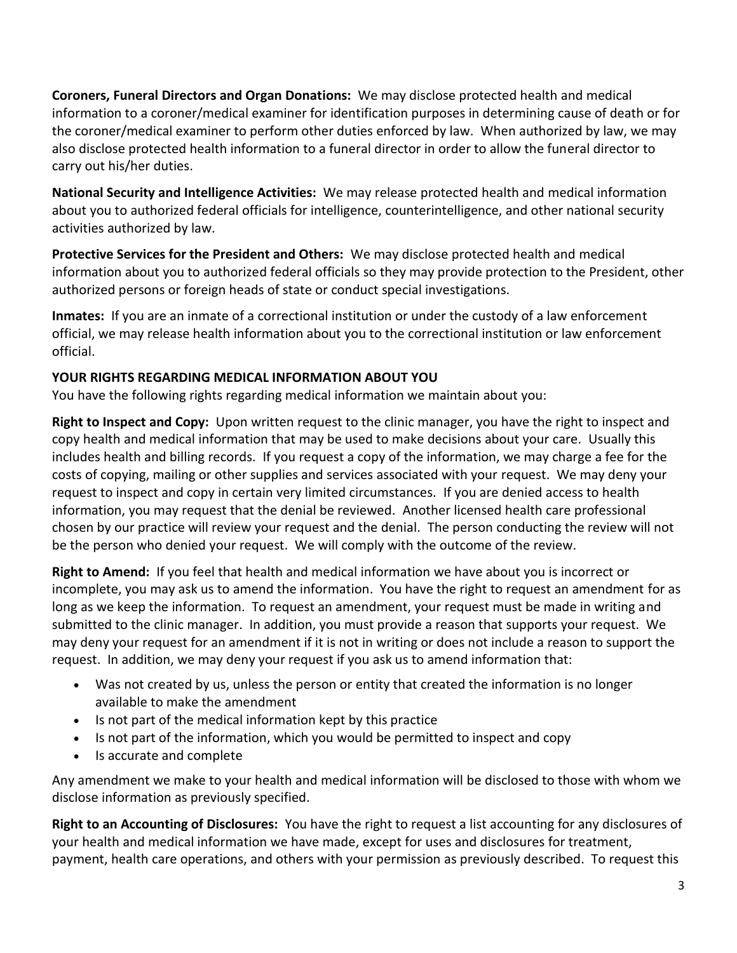**Coroners, Funeral Directors and Organ Donations:** We may disclose protected health and medical information to a coroner/medical examiner for identification purposes in determining cause of death or for the coroner/medical examiner to perform other duties enforced by law. When authorized by law, we may also disclose protected health information to a funeral director in order to allow the funeral director to carry out his/her duties.

**National Security and Intelligence Activities:** We may release protected health and medical information about you to authorized federal officials for intelligence, counterintelligence, and other national security activities authorized by law.

**Protective Services for the President and Others:** We may disclose protected health and medical information about you to authorized federal officials so they may provide protection to the President, other authorized persons or foreign heads of state or conduct special investigations.

**Inmates:** If you are an inmate of a correctional institution or under the custody of a law enforcement official, we may release health information about you to the correctional institution or law enforcement official.

### **YOUR RIGHTS REGARDING MEDICAL INFORMATION ABOUT YOU**

You have the following rights regarding medical information we maintain about you:

**Right to Inspect and Copy:** Upon written request to the clinic manager, you have the right to inspect and copy health and medical information that may be used to make decisions about your care. Usually this includes health and billing records. If you request a copy of the information, we may charge a fee for the costs of copying, mailing or other supplies and services associated with your request. We may deny your request to inspect and copy in certain very limited circumstances. If you are denied access to health information, you may request that the denial be reviewed. Another licensed health care professional chosen by our practice will review your request and the denial. The person conducting the review will not be the person who denied your request. We will comply with the outcome of the review.

**Right to Amend:** If you feel that health and medical information we have about you is incorrect or incomplete, you may ask us to amend the information. You have the right to request an amendment for as long as we keep the information. To request an amendment, your request must be made in writing and submitted to the clinic manager. In addition, you must provide a reason that supports your request. We may deny your request for an amendment if it is not in writing or does not include a reason to support the request. In addition, we may deny your request if you ask us to amend information that:

- Was not created by us, unless the person or entity that created the information is no longer available to make the amendment
- Is not part of the medical information kept by this practice
- Is not part of the information, which you would be permitted to inspect and copy
- Is accurate and complete

Any amendment we make to your health and medical information will be disclosed to those with whom we disclose information as previously specified.

**Right to an Accounting of Disclosures:** You have the right to request a list accounting for any disclosures of your health and medical information we have made, except for uses and disclosures for treatment, payment, health care operations, and others with your permission as previously described. To request this